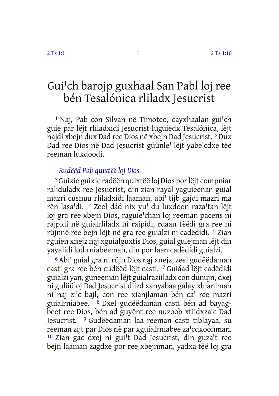# <span id="page-0-0"></span>Gui'ch barojp guxhaal San Pabl loj ree bén Tesalónica rliladx Jesucrist

 $1$  Naj, Pab con Silvan në Timoteo, cayxhaalan gui'ch guie par lëjt rliladxidi Jesucrist luguiedx Tesalónica, lëjt najdi xbejn dux Dad ree Dios në xbejn Dad Jesucrist. 2Dux Dad ree Dios në Dad Jesucrist güünle<sup>1</sup> lëjt yabe<sup>1</sup>cdxe tëë reeman luxdoodi.

### *Rudëëd Pab quixtëë loj Dios*

3Guixie guixie radëën quixtëë loj Dios porlëjt compniar raliduladx ree Jesucrist, din zian rayal yaguieenan guial mazri cusnuu rliladxidi laaman, abi' tijb gajdi mazri ma rën lasa'di. <sup>4</sup> Zeel dád nix yu' du luxdoon raza'tan lëjt loj gra ree xbejn Dios, raguie'chan loj reeman pacens ni rajpidi në guialrliladx ni rajpidi, rdaan tëëdi gra ree ni rüjnnë ree bejn lëjt në gra ree guialzi ni cadëdidi. 5 Zian rguien xnejz na̱j xguialguxtis Dios, guial gulejman lëjt din yayalidi lod rniabeeman, din por laan cadëdidi guialzi.

<sup>6</sup> Abi' guial gra ni rüjn Dios naj xnejz, zeel gudëëdaman casti gra ree bén cudëëd lëjt casti. 7 Guiáad lëjt cadëdidi guialzi yan, guneeman lëjt guialraziiladx con dunujn, dxej ni gulüüloj Dad Jesucrist diizd xanyabaa galay xbianiman ni naj zi'c bajl, con ree xianjlaman bén ca' ree mazri guialrniabee. 8 Dxel gudëëdaman casti bén ad bayagbeet ree Dios, bén ad guvënt ree nuzoob xtiidxza'c Dad Jesucrist. 9 Gudëëdaman laa reeman casti tiblayaa, su reeman zijt par Dios në par xguialrniabee za'cdxoonman. <sup>10</sup> Zian gac dxej ni gui<sup>l</sup>t Dad Jesucrist, din guza't ree bejn laaman zagdxe por ree xbejnman, yadxa tëë loj gra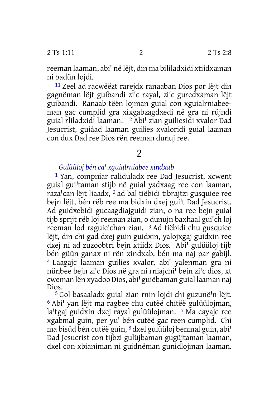reeman laaman, abi' në lëjt, din ma bililadxidi xtiidxaman ni badün lojdi.

11 Zeel ad racwëëzt rarejdx ranaaban Dios por lëjt din gagnëman lëjt guibandi zi<sup>j</sup>c rayal, zi<sup>j</sup>c guredxaman lëjt guibandi. Ranaab tëën lojman guial con xguialrniabeeman gac cumplid gra xixgabzagdxedi në gra ni rüjndi guial rliladxidi laaman. <sup>12</sup> Abi' zian guiliesidi xvalor Dad Jesucrist, guiáad laaman guilies xvaloridi guial laaman con dux Dad ree Dios rën reeman dunuj ree.

# $\overline{\mathcal{L}}$

## *Gulüüloj bén caꞌ xguialrniabee xindxab*

1 Yan, compniar raliduladx ree Dad Jesucrist, xcwent guial gui'taman stijb në guial yadxaag ree con laaman, raza'can lëjt liaadx, <sup>2</sup> ad bal tiëbidi tibrajtzi gusquiee ree bejn lëjt, bén rëb ree ma bidxin dxej gui't Dad Jesucrist. Ad guidxebidi gucaagdiajguidi zian, o na ree bejn guial tijb sprijt rëb loj reeman zian, o dunujn baxhaal gui'ch loj reeman lod raguie'chan zian. <sup>3</sup> Ad tiëbidi chu gusquiee lëjt, din chi gad dxej guin guidxin, yalojxgaj guidxin ree dxej ni ad zuzoobtri bejn xtiidx Dios. Abi' gulüüloj tijb bén güün ganax ni rën xindxab, bén ma na̱j par gabijl. <sup>4</sup> Laagajc laaman guilies xvalor, abi' yalenman gra ni nünbee bejn zi'c Dios në gra ni rniajchi' bejn zi'c dios, xt cweman lën xyadoo Dios, abi' guiëbaman guial laaman naj Dios.

<sup>5</sup> Gol basaaladx guial zian rnin lojdi chi guzunë'n lëjt.  $6$  Abi' yan lëit ma ragbee chu cutëë chitëë gulüülojman, la'tgaj guidxin dxej rayal gulüülojman.  $\frac{7}{1}$ Ma cayajc ree xgabmal guin, per yu' bén cutëë gac reen cumplid. Chi ma bisüd bén cutëë guin, <sup>8</sup> dxel gulüüloj benmal guin, abi<sup>t</sup> Dad Jesucrist con tijbzi gulüjbaman gugüjtaman laaman, dxel con xbianiman ni guidnëman gunidlojman laaman.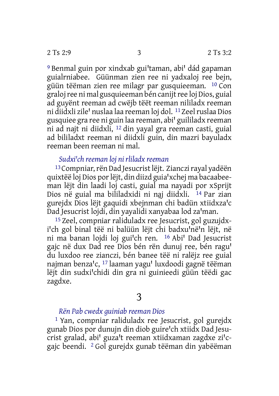<sup>9</sup> Benmal guin por xindxab gui'taman, abi' dád gapaman guialrniabee. Güünman zien ree ni yadxaloj ree bejn, güün tëëman zien ree milagr par gusquieeman. 10 Con graloj ree ni mal gusquieeman bén canijt ree loj Dios, guial ad guyënt reeman ad cwëjb tëët reeman nililadx reeman ni diidxli zile' nuslaa laa reeman loj dol. <sup>11</sup> Zeel ruslaa Dios gusquiee gra ree ni guin laa reeman, abi' guililadx reeman ni ad najt ni diidxli, 12 din yayal gra reeman casti, guial ad bililadxt reeman ni diidxli guin, din mazri bayuladx reeman been reeman ni mal.

# *Sudxiꞌch reeman loj ni rliladx reeman*

<sup>13</sup> Compniar, rën Dad Jesucrist lëjt. Zianczi rayal yadëën quixtëë loj Dios por lëjt, din diizd guia'xchej ma bacaabeeman lëjt din laadi loj casti, guial ma nayadi por xSprijt Dios në guial ma bililadxidi ni naj diidxli. <sup>14</sup> Par zian gurejdx Dios lëjt gaquidi xbejnman chi badün xtiidxza'c Dad Jesucrist lojdi, din yayalidi xanyabaa lod za'man.

15 Zeel, compniar raliduladx ree Jesucrist, gol guzujdxi'ch gol binal tëë ni balüün lëjt chi badxu'në'n lëjt, në ni ma banan lojdi loj gui'ch ren. <sup>16</sup> Abi' Dad Jesucrist gajc në dux Dad ree Dios bén rën dunuj ree, bén ragu' du luxdoo ree zianczi, bén banee tëë ni ralëjz ree guial najman benza'c, <sup>17</sup> laaman yagu' luxdoodi gagnë tëëman lëjt din sudxi'chidi din gra ni guinieedi güün tëëdi gac zagdxe.

## *Rën Pab cwedx guiniab reeman Dios*

1 Yan, compniar raliduladx ree Jesucrist, gol gurejdx gunab Dios por dunujn din diob guire'ch xtiidx Dad Jesucrist gralad, abi' guza't reeman xtiidxaman zagdxe zi'cgajc beendi. 2 Gol gurejdx gunab tëëman din yabëëman

<sup>3</sup>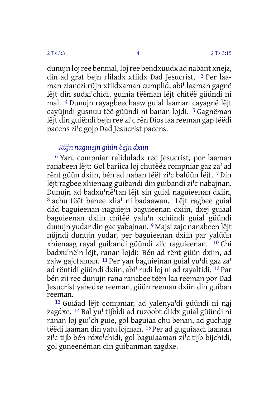dunujn lojree benmal, lojree bendxuudx ad nabant xnejz, din ad grat bejn rliladx xtiidx Dad Jesucrist. 3 Per laaman zianczi rüjn xtiidxaman cumplid, abi' laaman gagnë lëjt din sudxi'chidi, guinia tëëman lëjt chitëë güündi ni mal. 4 Dunujn rayagbeechaaw guial laaman cayagnë lëjt cayüjndi gusnuu tëë güündi ni banan lojdi. 5 Gagnëman lëjt din guiëndi bejn ree zi'c rën Dios laa reeman gap tëëdi pacens zi'c gojp Dad Jesucrist pacens.

### *Rüjn naguiejn güün bejn dxiin*

6 Yan, compniar raliduladx ree Jesucrist, por laaman ranabeen lëjt: Gol bariica loj chutëëz compniar gaz za' ad rënt güün dxiin, bén ad naban tëët zi'c balüün lëjt. 7 Din lëjt ragbee xhienaag guibandi din guibandi zi'c nabajnan. Dunujn ad badxu'në'tan lëjt sin guial naguieenan dxiin, <sup>8</sup> achu tëët banee xlia' ni badaawan. Lëjt ragbee guial dád baguieenan naguiejn baguieenan dxiin, dxej guiaal baguieenan dxiin chitëë yalu'n xchiindi guial güündi dunujn yudar din gac yabajnan. 9 Majsi zajc nanabeen lëjt nüjndi dunujn yudar, per baguieenan dxiin par yalüün xhienaag rayal guibandi güündi zi'c raguieenan. <sup>10</sup> Chi badxu'në'n lëjt, ranan lojdi: Bén ad rënt güün dxiin, ad zajw gajctaman. <sup>11</sup> Per yan baguiejnan guial yu'di gaz za' ad rëntidi güündi dxiin, abi' rudi loj ni ad rayaltidi. <sup>12</sup> Par bén zii ree dunujn rana ranabee tëën laa reeman por Dad Jesucrist yabedxe reeman, güün reeman dxiin din guiban reeman.

 $13$  Guiáad lëjt compniar, ad yalenya'di güündi ni naj zagdxe. <sup>14</sup> Bal yu' tijbidi ad ruzoobt diidx guial güündi ni ranan loj gui'ch guie, gol baguiaa chu benan, ad guchajg tëëdi laaman din yatu lojman. 15 Per ad guguiaadi laaman zi'c tijb bén rdxe<sup>i</sup>chidi, gol baguiaaman zi'c tijb bijchidi, gol guneenëman din guibanman zagdxe.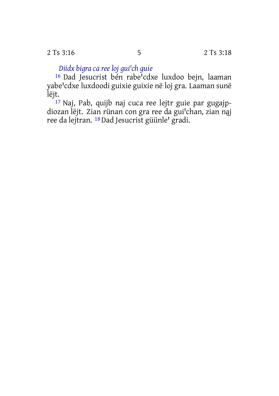2 Ts 3:16 2 Ts 3:18

*Diidx bigra ca ree loj guiꞌch guie*

<sup>16</sup> Dad Jesucrist bén rabe<sup>i</sup>cdxe luxdoo bejn, laaman yabe'cdxe luxdoodi guixie guixie në loj gra. Laaman sunë lëjt.

17 Naj, Pab, quijb naj cuca ree lejtr guie par gugajpdiozan lëjt. Zian rünan con gra ree da gui'chan, zian naj ree da lejtran. <sup>18</sup> Dad Jesucrist güünle' gradi.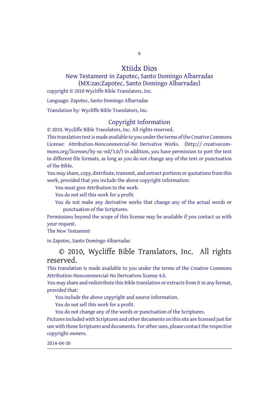6

### Xtiidx Dios

New Testament in Zapotec, Santo Domingo Albarradas (MX:zas:Zapotec, Santo Domingo Albarrada[s\)](#page-0-0) copyright © 2010 Wycliffe Bible Translators, Inc.

Language: Zapotec, Santo Domingo Albarradas

Translation by: Wycliffe Bible Translators, Inc.

### Copyright Information

© 2010, Wycliffe Bible Translators, Inc. All rights reserved. This translation text is made available to you under the terms of the Creative [Commons](http://creativecommons.org/licenses/by-nc-nd/4.0/)

License: [Attribution-Noncommercial-No](http://creativecommons.org/licenses/by-nc-nd/4.0/) Derivative Works. (http:// creativecommons.org/licenses/by-nc-nd/3.0/) In addition, you have permission to port the text to different file formats, as long as you do not change any of the text or punctuation of the Bible.

You may share, copy, distribute, transmit, and extract portions or quotations from this work, provided that you include the above copyright information:

You must give Attribution to the work.

You do not sell this work for a profit.

You do not make any derivative works that change any of the actual words or punctuation of the Scriptures.

Permissions beyond the scope of this license may be available if you contact us with your request.

The New Testament

in Zapotec, Santo Domingo Albarradas

## © 2010, Wycliffe Bible Translators, Inc. All rights reserved.

This translation is made available to you under the terms of the Creative Commons Attribution-Noncommercial-No Derivatives license 4.0.

You may share and redistribute this Bible translation or extracts from it in any format, provided that:

You include the above copyright and source information.

You do not sell this work for a profit.

You do not change any of the words or punctuation of the Scriptures. Pictures included with Scriptures and other documents on this site are licensed just for use with those Scriptures and documents. For other uses, please contact the respective copyright owners.

### 2014-04-30